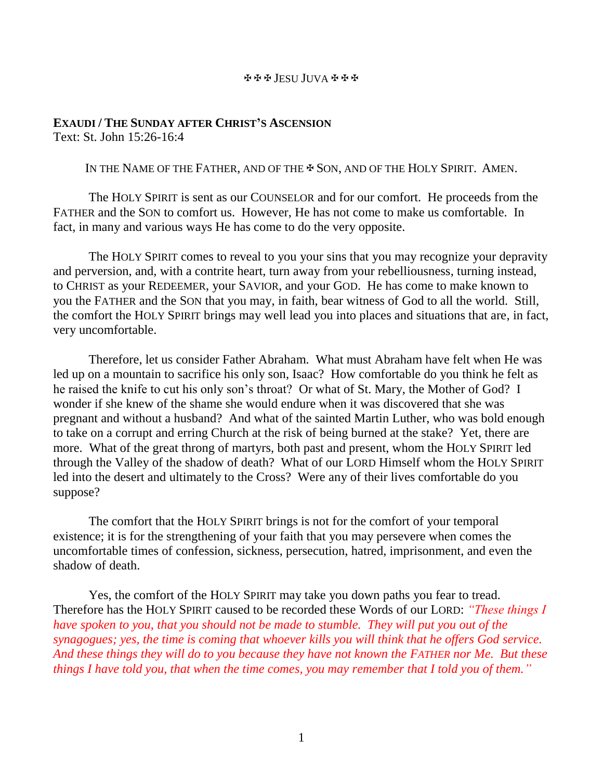## JESU JUVA

## **EXAUDI / THE SUNDAY AFTER CHRIST'S ASCENSION** Text: St. John 15:26-16:4

IN THE NAME OF THE FATHER, AND OF THE  $\clubsuit$  Son, and of the HOLY SPIRIT. AMEN.

The HOLY SPIRIT is sent as our COUNSELOR and for our comfort. He proceeds from the FATHER and the SON to comfort us. However, He has not come to make us comfortable. In fact, in many and various ways He has come to do the very opposite.

The HOLY SPIRIT comes to reveal to you your sins that you may recognize your depravity and perversion, and, with a contrite heart, turn away from your rebelliousness, turning instead, to CHRIST as your REDEEMER, your SAVIOR, and your GOD. He has come to make known to you the FATHER and the SON that you may, in faith, bear witness of God to all the world. Still, the comfort the HOLY SPIRIT brings may well lead you into places and situations that are, in fact, very uncomfortable.

Therefore, let us consider Father Abraham. What must Abraham have felt when He was led up on a mountain to sacrifice his only son, Isaac? How comfortable do you think he felt as he raised the knife to cut his only son's throat? Or what of St. Mary, the Mother of God? I wonder if she knew of the shame she would endure when it was discovered that she was pregnant and without a husband? And what of the sainted Martin Luther, who was bold enough to take on a corrupt and erring Church at the risk of being burned at the stake? Yet, there are more. What of the great throng of martyrs, both past and present, whom the HOLY SPIRIT led through the Valley of the shadow of death? What of our LORD Himself whom the HOLY SPIRIT led into the desert and ultimately to the Cross? Were any of their lives comfortable do you suppose?

The comfort that the HOLY SPIRIT brings is not for the comfort of your temporal existence; it is for the strengthening of your faith that you may persevere when comes the uncomfortable times of confession, sickness, persecution, hatred, imprisonment, and even the shadow of death.

Yes, the comfort of the HOLY SPIRIT may take you down paths you fear to tread. Therefore has the HOLY SPIRIT caused to be recorded these Words of our LORD: *"These things I have spoken to you, that you should not be made to stumble. They will put you out of the synagogues; yes, the time is coming that whoever kills you will think that he offers God service. And these things they will do to you because they have not known the FATHER nor Me. But these things I have told you, that when the time comes, you may remember that I told you of them."*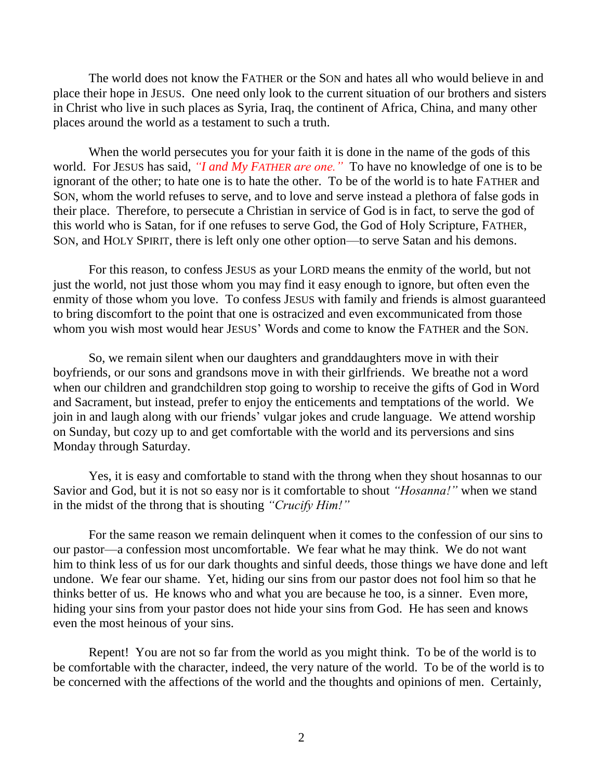The world does not know the FATHER or the SON and hates all who would believe in and place their hope in JESUS. One need only look to the current situation of our brothers and sisters in Christ who live in such places as Syria, Iraq, the continent of Africa, China, and many other places around the world as a testament to such a truth.

When the world persecutes you for your faith it is done in the name of the gods of this world. For JESUS has said, *"I and My FATHER are one."* To have no knowledge of one is to be ignorant of the other; to hate one is to hate the other. To be of the world is to hate FATHER and SON, whom the world refuses to serve, and to love and serve instead a plethora of false gods in their place. Therefore, to persecute a Christian in service of God is in fact, to serve the god of this world who is Satan, for if one refuses to serve God, the God of Holy Scripture, FATHER, SON, and HOLY SPIRIT, there is left only one other option—to serve Satan and his demons.

For this reason, to confess JESUS as your LORD means the enmity of the world, but not just the world, not just those whom you may find it easy enough to ignore, but often even the enmity of those whom you love. To confess JESUS with family and friends is almost guaranteed to bring discomfort to the point that one is ostracized and even excommunicated from those whom you wish most would hear JESUS' Words and come to know the FATHER and the SON.

So, we remain silent when our daughters and granddaughters move in with their boyfriends, or our sons and grandsons move in with their girlfriends. We breathe not a word when our children and grandchildren stop going to worship to receive the gifts of God in Word and Sacrament, but instead, prefer to enjoy the enticements and temptations of the world. We join in and laugh along with our friends' vulgar jokes and crude language. We attend worship on Sunday, but cozy up to and get comfortable with the world and its perversions and sins Monday through Saturday.

Yes, it is easy and comfortable to stand with the throng when they shout hosannas to our Savior and God, but it is not so easy nor is it comfortable to shout *"Hosanna!"* when we stand in the midst of the throng that is shouting *"Crucify Him!"*

For the same reason we remain delinquent when it comes to the confession of our sins to our pastor—a confession most uncomfortable. We fear what he may think. We do not want him to think less of us for our dark thoughts and sinful deeds, those things we have done and left undone. We fear our shame. Yet, hiding our sins from our pastor does not fool him so that he thinks better of us. He knows who and what you are because he too, is a sinner. Even more, hiding your sins from your pastor does not hide your sins from God. He has seen and knows even the most heinous of your sins.

Repent! You are not so far from the world as you might think. To be of the world is to be comfortable with the character, indeed, the very nature of the world. To be of the world is to be concerned with the affections of the world and the thoughts and opinions of men. Certainly,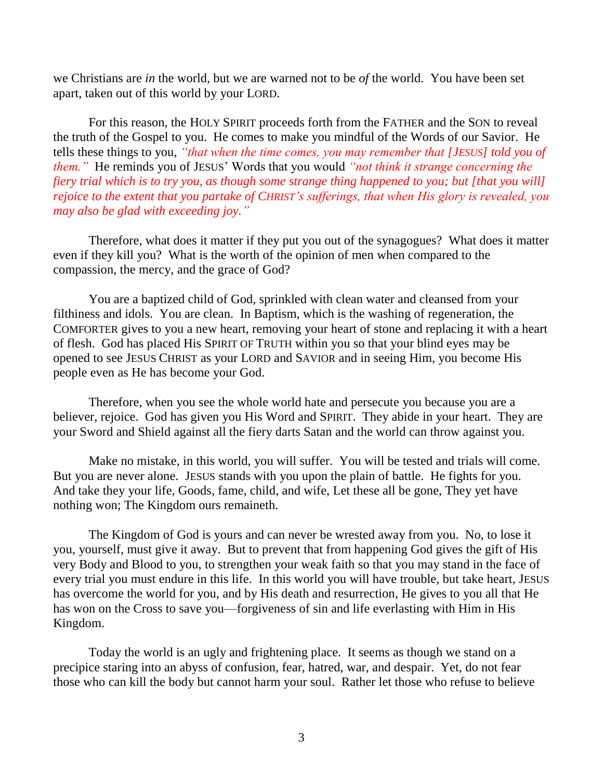we Christians are *in* the world, but we are warned not to be *of* the world. You have been set apart, taken out of this world by your LORD.

For this reason, the HOLY SPIRIT proceeds forth from the FATHER and the SON to reveal the truth of the Gospel to you. He comes to make you mindful of the Words of our Savior. He tells these things to you, *"that when the time comes, you may remember that [JESUS] told you of them."* He reminds you of JESUS' Words that you would *"not think it strange concerning the fiery trial which is to try you, as though some strange thing happened to you; but [that you will] rejoice to the extent that you partake of CHRIST's sufferings, that when His glory is revealed, you may also be glad with exceeding joy."*

Therefore, what does it matter if they put you out of the synagogues? What does it matter even if they kill you? What is the worth of the opinion of men when compared to the compassion, the mercy, and the grace of God?

You are a baptized child of God, sprinkled with clean water and cleansed from your filthiness and idols. You are clean. In Baptism, which is the washing of regeneration, the COMFORTER gives to you a new heart, removing your heart of stone and replacing it with a heart of flesh. God has placed His SPIRIT OF TRUTH within you so that your blind eyes may be opened to see JESUS CHRIST as your LORD and SAVIOR and in seeing Him, you become His people even as He has become your God.

Therefore, when you see the whole world hate and persecute you because you are a believer, rejoice. God has given you His Word and SPIRIT. They abide in your heart. They are your Sword and Shield against all the fiery darts Satan and the world can throw against you.

Make no mistake, in this world, you will suffer. You will be tested and trials will come. But you are never alone. JESUS stands with you upon the plain of battle. He fights for you. And take they your life, Goods, fame, child, and wife, Let these all be gone, They yet have nothing won; The Kingdom ours remaineth.

The Kingdom of God is yours and can never be wrested away from you. No, to lose it you, yourself, must give it away. But to prevent that from happening God gives the gift of His very Body and Blood to you, to strengthen your weak faith so that you may stand in the face of every trial you must endure in this life. In this world you will have trouble, but take heart, JESUS has overcome the world for you, and by His death and resurrection, He gives to you all that He has won on the Cross to save you—forgiveness of sin and life everlasting with Him in His Kingdom.

Today the world is an ugly and frightening place. It seems as though we stand on a precipice staring into an abyss of confusion, fear, hatred, war, and despair. Yet, do not fear those who can kill the body but cannot harm your soul. Rather let those who refuse to believe